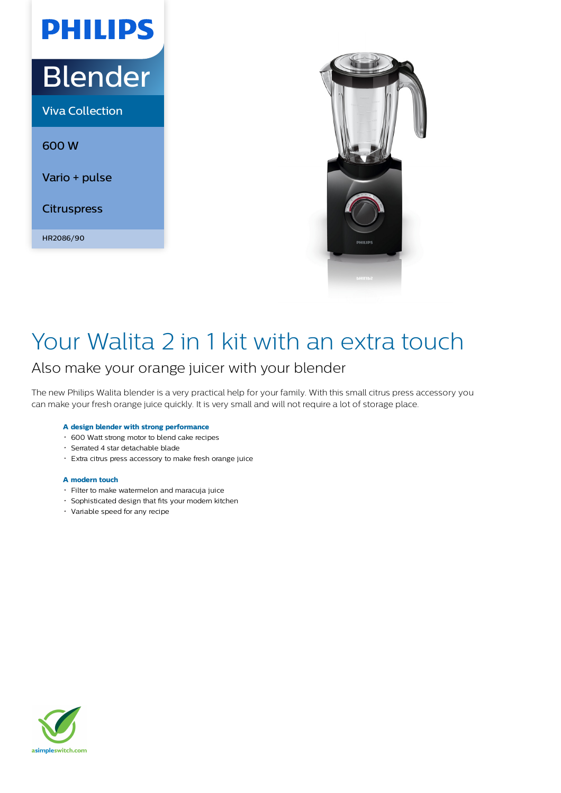# Blender

**PHILIPS** 

Viva Collection

600 W

Vario + pulse

**Citruspress** 

HR2086/90



## Your Walita 2 in 1 kit with an extra touch

### Also make your orange juicer with your blender

The new Philips Walita blender is a very practical help for your family. With this small citrus press accessory you can make your fresh orange juice quickly. It is very small and will not require a lot of storage place.

### **A design blender with strong performance**

- 600 Watt strong motor to blend cake recipes
- Serrated 4 star detachable blade
- Extra citrus press accessory to make fresh orange juice

#### **A modern touch**

- Filter to make watermelon and maracuja juice
- Sophisticated design that fits your modern kitchen
- Variable speed for any recipe